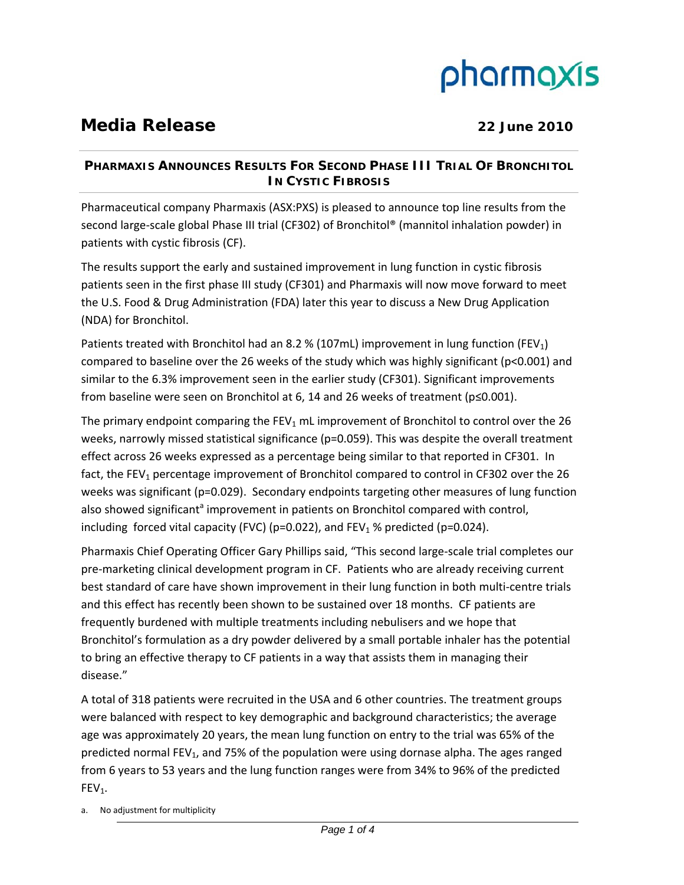# pharmaxis

## **Media Release** 22 June 2010

### **PHARMAXIS ANNOUNCES RESULTS FOR SECOND PHASE III TRIAL OF BRONCHITOL IN CYSTIC FIBROSIS**

Pharmaceutical company Pharmaxis (ASX:PXS) is pleased to announce top line results from the second large‐scale global Phase III trial (CF302) of Bronchitol® (mannitol inhalation powder) in patients with cystic fibrosis (CF).

The results support the early and sustained improvement in lung function in cystic fibrosis patients seen in the first phase III study (CF301) and Pharmaxis will now move forward to meet the U.S. Food & Drug Administration (FDA) later this year to discuss a New Drug Application (NDA) for Bronchitol.

Patients treated with Bronchitol had an 8.2 % (107mL) improvement in lung function (FEV<sub>1</sub>) compared to baseline over the 26 weeks of the study which was highly significant (p<0.001) and similar to the 6.3% improvement seen in the earlier study (CF301). Significant improvements from baseline were seen on Bronchitol at 6, 14 and 26 weeks of treatment (p≤0.001).

The primary endpoint comparing the  $FEV_1$  mL improvement of Bronchitol to control over the 26 weeks, narrowly missed statistical significance (p=0.059). This was despite the overall treatment effect across 26 weeks expressed as a percentage being similar to that reported in CF301. In fact, the FEV<sub>1</sub> percentage improvement of Bronchitol compared to control in CF302 over the 26 weeks was significant (p=0.029). Secondary endpoints targeting other measures of lung function also showed significant<sup>a</sup> improvement in patients on Bronchitol compared with control, including forced vital capacity (FVC) (p=0.022), and FEV<sub>1</sub> % predicted (p=0.024).

Pharmaxis Chief Operating Officer Gary Phillips said, "This second large‐scale trial completes our pre‐marketing clinical development program in CF. Patients who are already receiving current best standard of care have shown improvement in their lung function in both multi-centre trials and this effect has recently been shown to be sustained over 18 months. CF patients are frequently burdened with multiple treatments including nebulisers and we hope that Bronchitol's formulation as a dry powder delivered by a small portable inhaler has the potential to bring an effective therapy to CF patients in a way that assists them in managing their disease."

A total of 318 patients were recruited in the USA and 6 other countries. The treatment groups were balanced with respect to key demographic and background characteristics; the average age was approximately 20 years, the mean lung function on entry to the trial was 65% of the predicted normal FEV<sub>1</sub>, and 75% of the population were using dornase alpha. The ages ranged from 6 years to 53 years and the lung function ranges were from 34% to 96% of the predicted  $FEV<sub>1</sub>$ .

a. No adjustment for multiplicity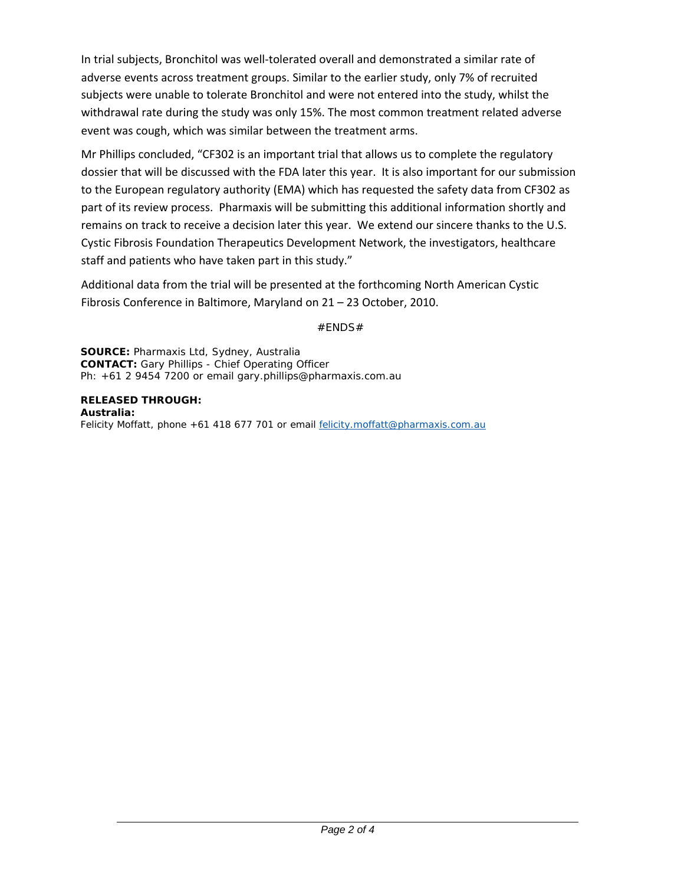In trial subjects, Bronchitol was well‐tolerated overall and demonstrated a similar rate of adverse events across treatment groups. Similar to the earlier study, only 7% of recruited subjects were unable to tolerate Bronchitol and were not entered into the study, whilst the withdrawal rate during the study was only 15%. The most common treatment related adverse event was cough, which was similar between the treatment arms.

Mr Phillips concluded, "CF302 is an important trial that allows us to complete the regulatory dossier that will be discussed with the FDA later this year. It is also important for our submission to the European regulatory authority (EMA) which has requested the safety data from CF302 as part of its review process. Pharmaxis will be submitting this additional information shortly and remains on track to receive a decision later this year. We extend our sincere thanks to the U.S. Cystic Fibrosis Foundation Therapeutics Development Network, the investigators, healthcare staff and patients who have taken part in this study."

Additional data from the trial will be presented at the forthcoming North American Cystic Fibrosis Conference in Baltimore, Maryland on 21 – 23 October, 2010.

#ENDS#

**SOURCE:** Pharmaxis Ltd, Sydney, Australia **CONTACT:** Gary Phillips - Chief Operating Officer Ph: +61 2 9454 7200 or email gary.phillips@pharmaxis.com.au

**RELEASED THROUGH: Australia:**  Felicity Moffatt, phone +61 418 677 701 or email felicity.moffatt@pharmaxis.com.au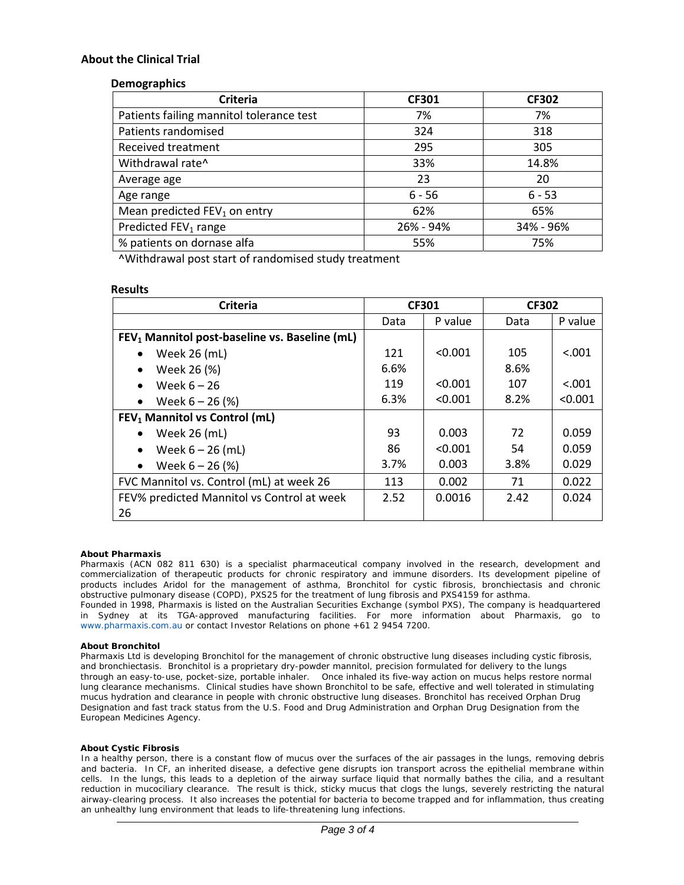#### **About the Clinical Trial**

#### **Demographics**

| <b>Criteria</b>                          | <b>CF301</b> | <b>CF302</b> |
|------------------------------------------|--------------|--------------|
| Patients failing mannitol tolerance test | 7%           | 7%           |
| Patients randomised                      | 324          | 318          |
| <b>Received treatment</b>                | 295          | 305          |
| Withdrawal rate^                         | 33%          | 14.8%        |
| Average age                              | 23           | 20           |
| Age range                                | $6 - 56$     | $6 - 53$     |
| Mean predicted $FEV_1$ on entry          | 62%          | 65%          |
| Predicted FEV <sub>1</sub> range         | 26% - 94%    | 34% - 96%    |
| % patients on dornase alfa               | 55%          | 75%          |

^Withdrawal post start of randomised study treatment

#### **Results**

| <b>Criteria</b>                                           | <b>CF301</b> |         | <b>CF302</b> |         |
|-----------------------------------------------------------|--------------|---------|--------------|---------|
|                                                           | Data         | P value | Data         | P value |
| FEV <sub>1</sub> Mannitol post-baseline vs. Baseline (mL) |              |         |              |         |
| Week 26 (mL)<br>$\bullet$                                 | 121          | < 0.001 | 105          | < .001  |
| Week 26 (%)<br>$\bullet$                                  | 6.6%         |         | 8.6%         |         |
| Week $6 - 26$<br>$\bullet$                                | 119          | < 0.001 | 107          | < .001  |
| Week $6 - 26$ (%)<br>$\bullet$                            | 6.3%         | < 0.001 | 8.2%         | < 0.001 |
| FEV <sub>1</sub> Mannitol vs Control (mL)                 |              |         |              |         |
| Week 26 (mL)<br>$\bullet$                                 | 93           | 0.003   | 72           | 0.059   |
| Week $6 - 26$ (mL)<br>$\bullet$                           | 86           | < 0.001 | 54           | 0.059   |
| Week $6 - 26$ (%)<br>$\bullet$                            | 3.7%         | 0.003   | 3.8%         | 0.029   |
| FVC Mannitol vs. Control (mL) at week 26                  | 113          | 0.002   | 71           | 0.022   |
| FEV% predicted Mannitol vs Control at week                | 2.52         | 0.0016  | 2.42         | 0.024   |
| 26                                                        |              |         |              |         |

#### **About Pharmaxis**

Pharmaxis (ACN 082 811 630) is a specialist pharmaceutical company involved in the research, development and commercialization of therapeutic products for chronic respiratory and immune disorders. Its development pipeline of products includes Aridol for the management of asthma, Bronchitol for cystic fibrosis, bronchiectasis and chronic obstructive pulmonary disease (COPD), PXS25 for the treatment of lung fibrosis and PXS4159 for asthma.

Founded in 1998, Pharmaxis is listed on the Australian Securities Exchange (symbol PXS), The company is headquartered in Sydney at its TGA-approved manufacturing facilities. For more information about Pharmaxis, go to www.pharmaxis.com.au or contact Investor Relations on phone +61 2 9454 7200.

#### **About Bronchitol**

Pharmaxis Ltd is developing Bronchitol for the management of chronic obstructive lung diseases including cystic fibrosis, and bronchiectasis. Bronchitol is a proprietary dry-powder mannitol, precision formulated for delivery to the lungs through an easy-to-use, pocket-size, portable inhaler. Once inhaled its five-way action on mucus helps restore normal lung clearance mechanisms. Clinical studies have shown Bronchitol to be safe, effective and well tolerated in stimulating mucus hydration and clearance in people with chronic obstructive lung diseases. Bronchitol has received Orphan Drug Designation and fast track status from the U.S. Food and Drug Administration and Orphan Drug Designation from the European Medicines Agency.

#### **About Cystic Fibrosis**

In a healthy person, there is a constant flow of mucus over the surfaces of the air passages in the lungs, removing debris and bacteria. In CF, an inherited disease, a defective gene disrupts ion transport across the epithelial membrane within cells. In the lungs, this leads to a depletion of the airway surface liquid that normally bathes the cilia, and a resultant reduction in mucociliary clearance. The result is thick, sticky mucus that clogs the lungs, severely restricting the natural airway-clearing process. It also increases the potential for bacteria to become trapped and for inflammation, thus creating an unhealthy lung environment that leads to life-threatening lung infections.